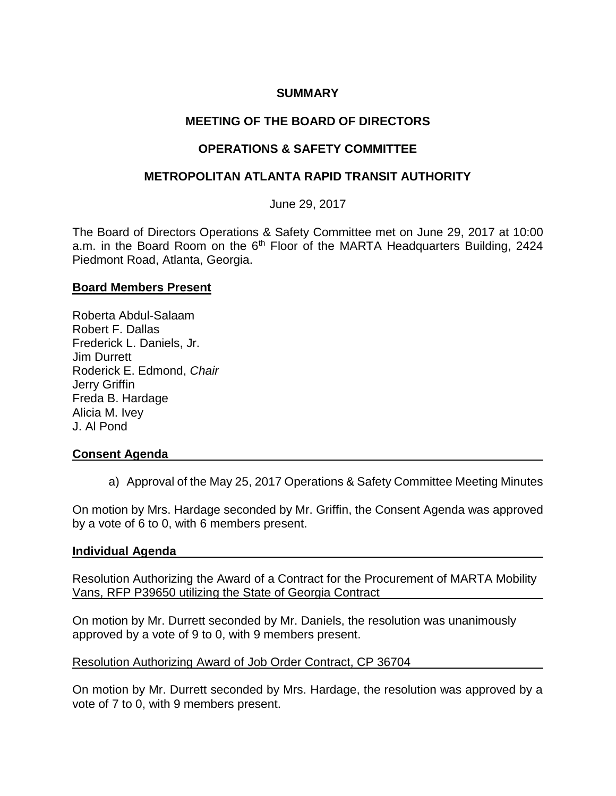### **SUMMARY**

# **MEETING OF THE BOARD OF DIRECTORS**

## **OPERATIONS & SAFETY COMMITTEE**

### **METROPOLITAN ATLANTA RAPID TRANSIT AUTHORITY**

### June 29, 2017

The Board of Directors Operations & Safety Committee met on June 29, 2017 at 10:00 a.m. in the Board Room on the  $6<sup>th</sup>$  Floor of the MARTA Headquarters Building, 2424 Piedmont Road, Atlanta, Georgia.

#### **Board Members Present**

Roberta Abdul-Salaam Robert F. Dallas Frederick L. Daniels, Jr. Jim Durrett Roderick E. Edmond, *Chair*  Jerry Griffin Freda B. Hardage Alicia M. Ivey J. Al Pond

### **Consent Agenda**

a) Approval of the May 25, 2017 Operations & Safety Committee Meeting Minutes

On motion by Mrs. Hardage seconded by Mr. Griffin, the Consent Agenda was approved by a vote of 6 to 0, with 6 members present.

#### **Individual Agenda**

Resolution Authorizing the Award of a Contract for the Procurement of MARTA Mobility Vans, RFP P39650 utilizing the State of Georgia Contract

On motion by Mr. Durrett seconded by Mr. Daniels, the resolution was unanimously approved by a vote of 9 to 0, with 9 members present.

#### Resolution Authorizing Award of Job Order Contract, CP 36704

On motion by Mr. Durrett seconded by Mrs. Hardage, the resolution was approved by a vote of 7 to 0, with 9 members present.